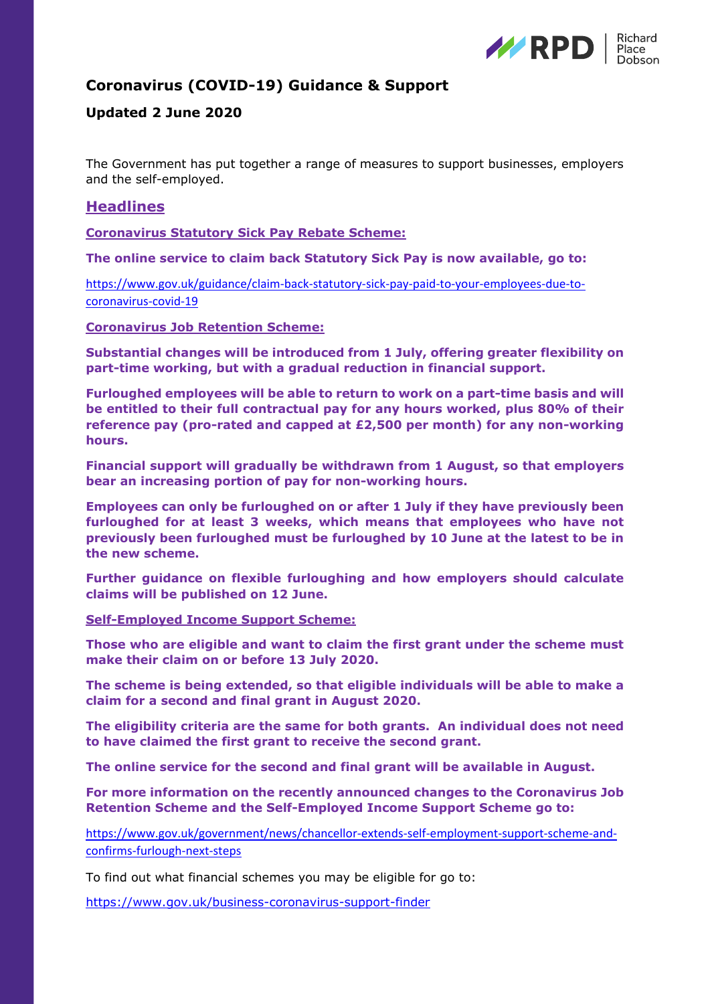

# **Coronavirus (COVID-19) Guidance & Support**

# **Updated 2 June 2020**

The Government has put together a range of measures to support businesses, employers and the self-employed.

# **Headlines**

**Coronavirus Statutory Sick Pay Rebate Scheme:**

**The online service to claim back Statutory Sick Pay is now available, go to:**

[https://www.gov.uk/guidance/claim-back-statutory-sick-pay-paid-to-your-employees-due-to](https://www.gov.uk/guidance/claim-back-statutory-sick-pay-paid-to-your-employees-due-to-coronavirus-covid-19)[coronavirus-covid-19](https://www.gov.uk/guidance/claim-back-statutory-sick-pay-paid-to-your-employees-due-to-coronavirus-covid-19)

**Coronavirus Job Retention Scheme:**

**Substantial changes will be introduced from 1 July, offering greater flexibility on part-time working, but with a gradual reduction in financial support.**

**Furloughed employees will be able to return to work on a part-time basis and will be entitled to their full contractual pay for any hours worked, plus 80% of their reference pay (pro-rated and capped at £2,500 per month) for any non-working hours.** 

**Financial support will gradually be withdrawn from 1 August, so that employers bear an increasing portion of pay for non-working hours.**

**Employees can only be furloughed on or after 1 July if they have previously been furloughed for at least 3 weeks, which means that employees who have not previously been furloughed must be furloughed by 10 June at the latest to be in the new scheme.**

**Further guidance on flexible furloughing and how employers should calculate claims will be published on 12 June.** 

**Self-Employed Income Support Scheme:**

**Those who are eligible and want to claim the first grant under the scheme must make their claim on or before 13 July 2020.**

**The scheme is being extended, so that eligible individuals will be able to make a claim for a second and final grant in August 2020.**

**The eligibility criteria are the same for both grants. An individual does not need to have claimed the first grant to receive the second grant.**

**The online service for the second and final grant will be available in August.**

**For more information on the recently announced changes to the Coronavirus Job Retention Scheme and the Self-Employed Income Support Scheme go to:**

[https://www.gov.uk/government/news/chancellor-extends-self-employment-support-scheme-and](https://www.gov.uk/government/news/chancellor-extends-self-employment-support-scheme-and-confirms-furlough-next-steps)[confirms-furlough-next-steps](https://www.gov.uk/government/news/chancellor-extends-self-employment-support-scheme-and-confirms-furlough-next-steps)

To find out what financial schemes you may be eligible for go to:

<https://www.gov.uk/business-coronavirus-support-finder>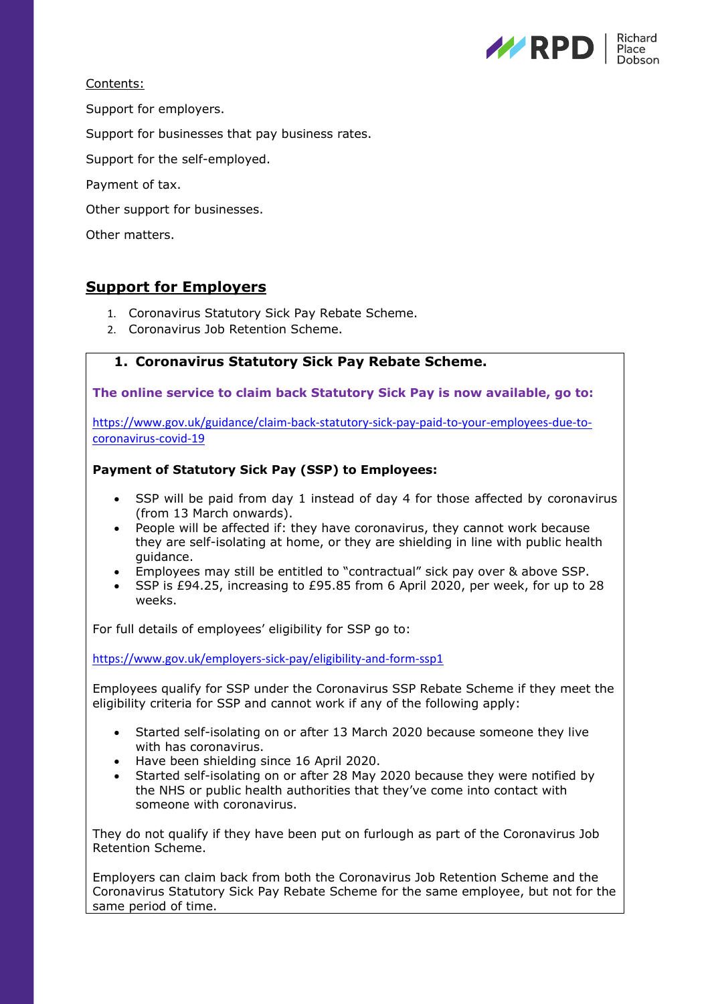

Contents:

Support for employers.

Support for businesses that pay business rates.

Support for the self-employed.

Payment of tax.

Other support for businesses.

Other matters.

# **Support for Employers**

- 1. Coronavirus Statutory Sick Pay Rebate Scheme.
- 2. Coronavirus Job Retention Scheme.

# **1. Coronavirus Statutory Sick Pay Rebate Scheme.**

**The online service to claim back Statutory Sick Pay is now available, go to:**

[https://www.gov.uk/guidance/claim-back-statutory-sick-pay-paid-to-your-employees-due-to](https://www.gov.uk/guidance/claim-back-statutory-sick-pay-paid-to-your-employees-due-to-coronavirus-covid-19)[coronavirus-covid-19](https://www.gov.uk/guidance/claim-back-statutory-sick-pay-paid-to-your-employees-due-to-coronavirus-covid-19)

## **Payment of Statutory Sick Pay (SSP) to Employees:**

- SSP will be paid from day 1 instead of day 4 for those affected by coronavirus (from 13 March onwards).
- People will be affected if: they have coronavirus, they cannot work because they are self-isolating at home, or they are shielding in line with public health guidance.
- Employees may still be entitled to "contractual" sick pay over & above SSP.
- SSP is £94.25, increasing to £95.85 from 6 April 2020, per week, for up to 28 weeks.

For full details of employees' eligibility for SSP go to:

<https://www.gov.uk/employers-sick-pay/eligibility-and-form-ssp1>

Employees qualify for SSP under the Coronavirus SSP Rebate Scheme if they meet the eligibility criteria for SSP and cannot work if any of the following apply:

- Started self-isolating on or after 13 March 2020 because someone they live with has coronavirus.
- Have been shielding since 16 April 2020.
- Started self-isolating on or after 28 May 2020 because they were notified by the NHS or public health authorities that they've come into contact with someone with coronavirus.

They do not qualify if they have been put on furlough as part of the Coronavirus Job Retention Scheme.

Employers can claim back from both the Coronavirus Job Retention Scheme and the Coronavirus Statutory Sick Pay Rebate Scheme for the same employee, but not for the same period of time.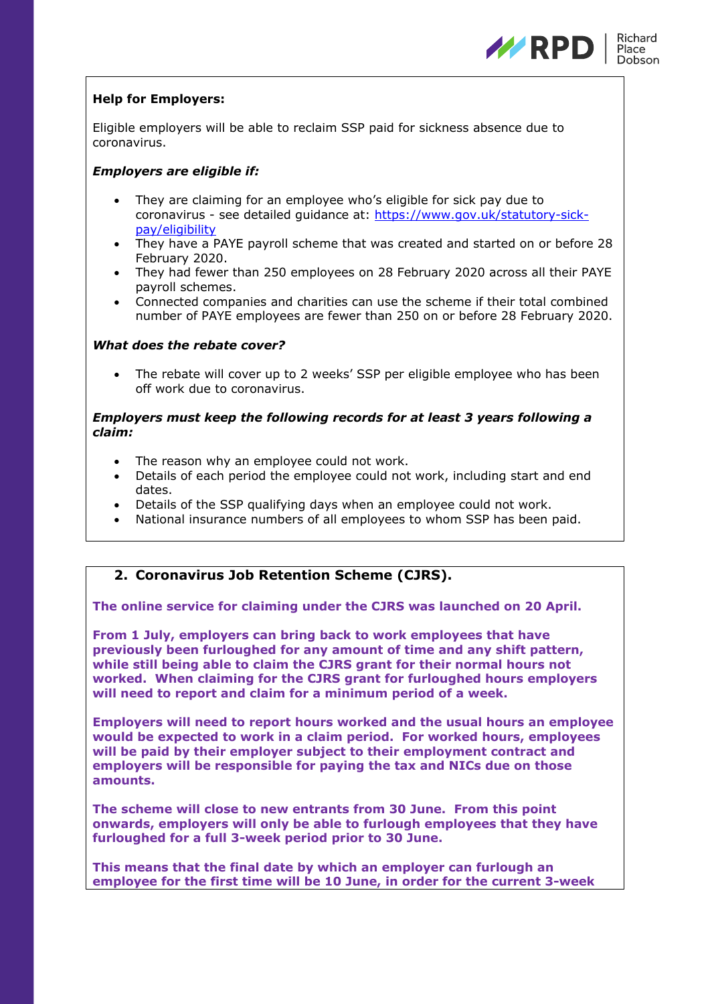

# **Help for Employers:**

Eligible employers will be able to reclaim SSP paid for sickness absence due to coronavirus.

## *Employers are eligible if:*

- They are claiming for an employee who's eligible for sick pay due to coronavirus - see detailed guidance at: [https://www.gov.uk/statutory-sick](https://www.gov.uk/statutory-sick-pay/eligibility)[pay/eligibility](https://www.gov.uk/statutory-sick-pay/eligibility)
- They have a PAYE payroll scheme that was created and started on or before 28 February 2020.
- They had fewer than 250 employees on 28 February 2020 across all their PAYE payroll schemes.
- Connected companies and charities can use the scheme if their total combined number of PAYE employees are fewer than 250 on or before 28 February 2020.

### *What does the rebate cover?*

• The rebate will cover up to 2 weeks' SSP per eligible employee who has been off work due to coronavirus.

## *Employers must keep the following records for at least 3 years following a claim:*

- The reason why an employee could not work.
- Details of each period the employee could not work, including start and end dates.
- Details of the SSP qualifying days when an employee could not work.
- National insurance numbers of all employees to whom SSP has been paid.

# **2. Coronavirus Job Retention Scheme (CJRS).**

**The online service for claiming under the CJRS was launched on 20 April.**

**From 1 July, employers can bring back to work employees that have previously been furloughed for any amount of time and any shift pattern, while still being able to claim the CJRS grant for their normal hours not worked. When claiming for the CJRS grant for furloughed hours employers will need to report and claim for a minimum period of a week.**

**Employers will need to report hours worked and the usual hours an employee would be expected to work in a claim period. For worked hours, employees will be paid by their employer subject to their employment contract and employers will be responsible for paying the tax and NICs due on those amounts.**

**The scheme will close to new entrants from 30 June. From this point onwards, employers will only be able to furlough employees that they have furloughed for a full 3-week period prior to 30 June.**

**This means that the final date by which an employer can furlough an employee for the first time will be 10 June, in order for the current 3-week**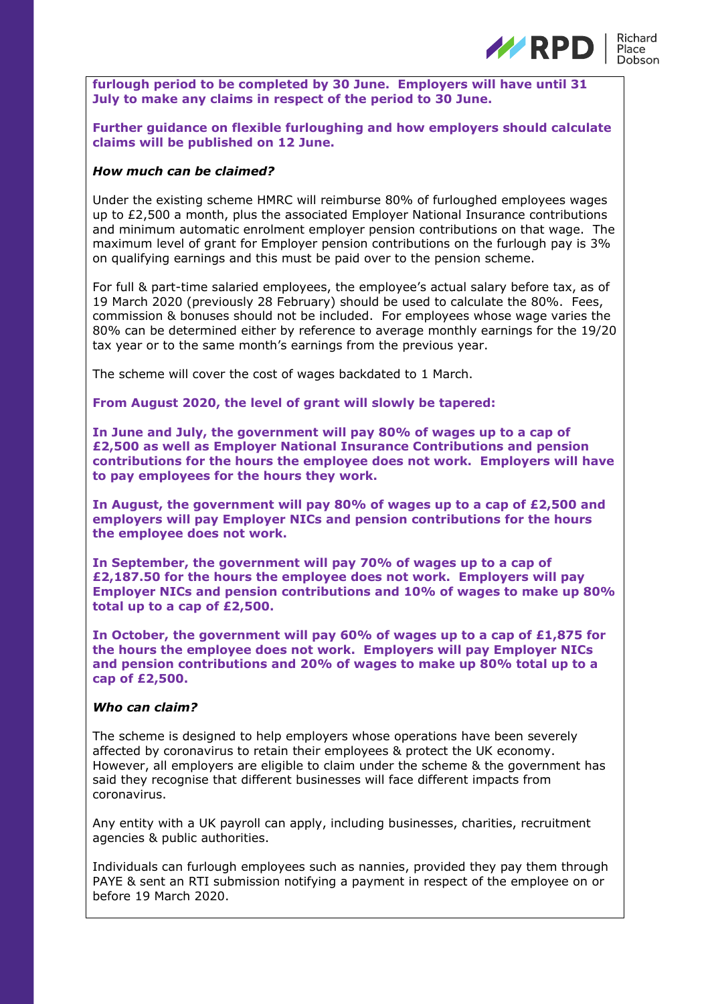

**furlough period to be completed by 30 June. Employers will have until 31 July to make any claims in respect of the period to 30 June.**

**Further guidance on flexible furloughing and how employers should calculate claims will be published on 12 June.** 

#### *How much can be claimed?*

Under the existing scheme HMRC will reimburse 80% of furloughed employees wages up to £2,500 a month, plus the associated Employer National Insurance contributions and minimum automatic enrolment employer pension contributions on that wage. The maximum level of grant for Employer pension contributions on the furlough pay is 3% on qualifying earnings and this must be paid over to the pension scheme.

For full & part-time salaried employees, the employee's actual salary before tax, as of 19 March 2020 (previously 28 February) should be used to calculate the 80%. Fees, commission & bonuses should not be included. For employees whose wage varies the 80% can be determined either by reference to average monthly earnings for the 19/20 tax year or to the same month's earnings from the previous year.

The scheme will cover the cost of wages backdated to 1 March.

**From August 2020, the level of grant will slowly be tapered:**

**In June and July, the government will pay 80% of wages up to a cap of £2,500 as well as Employer National Insurance Contributions and pension contributions for the hours the employee does not work. Employers will have to pay employees for the hours they work.**

**In August, the government will pay 80% of wages up to a cap of £2,500 and employers will pay Employer NICs and pension contributions for the hours the employee does not work.**

**In September, the government will pay 70% of wages up to a cap of £2,187.50 for the hours the employee does not work. Employers will pay Employer NICs and pension contributions and 10% of wages to make up 80% total up to a cap of £2,500.**

**In October, the government will pay 60% of wages up to a cap of £1,875 for the hours the employee does not work. Employers will pay Employer NICs and pension contributions and 20% of wages to make up 80% total up to a cap of £2,500.**

#### *Who can claim?*

The scheme is designed to help employers whose operations have been severely affected by coronavirus to retain their employees & protect the UK economy. However, all employers are eligible to claim under the scheme & the government has said they recognise that different businesses will face different impacts from coronavirus.

Any entity with a UK payroll can apply, including businesses, charities, recruitment agencies & public authorities.

Individuals can furlough employees such as nannies, provided they pay them through PAYE & sent an RTI submission notifying a payment in respect of the employee on or before 19 March 2020.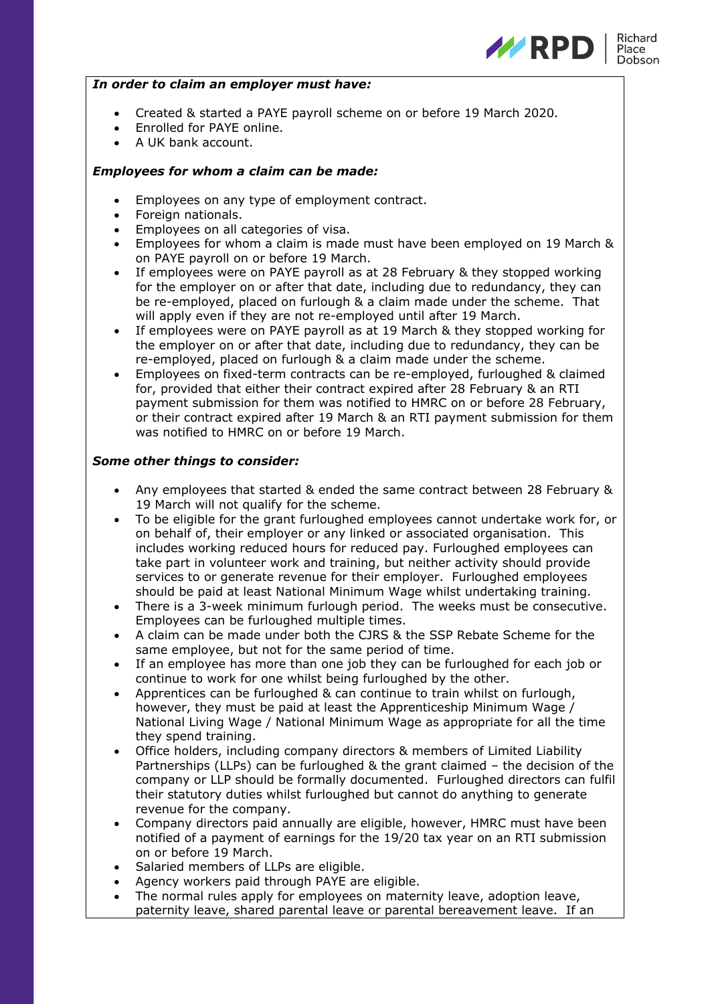

#### *In order to claim an employer must have:*

- Created & started a PAYE payroll scheme on or before 19 March 2020.
- Enrolled for PAYE online.
- A UK bank account.

## *Employees for whom a claim can be made:*

- Employees on any type of employment contract.
- Foreign nationals.
- Employees on all categories of visa.
- Employees for whom a claim is made must have been employed on 19 March & on PAYE payroll on or before 19 March.
- If employees were on PAYE payroll as at 28 February & they stopped working for the employer on or after that date, including due to redundancy, they can be re-employed, placed on furlough & a claim made under the scheme. That will apply even if they are not re-employed until after 19 March.
- If employees were on PAYE payroll as at 19 March & they stopped working for the employer on or after that date, including due to redundancy, they can be re-employed, placed on furlough & a claim made under the scheme.
- Employees on fixed-term contracts can be re-employed, furloughed & claimed for, provided that either their contract expired after 28 February & an RTI payment submission for them was notified to HMRC on or before 28 February, or their contract expired after 19 March & an RTI payment submission for them was notified to HMRC on or before 19 March.

### *Some other things to consider:*

- Any employees that started & ended the same contract between 28 February & 19 March will not qualify for the scheme.
- To be eligible for the grant furloughed employees cannot undertake work for, or on behalf of, their employer or any linked or associated organisation. This includes working reduced hours for reduced pay. Furloughed employees can take part in volunteer work and training, but neither activity should provide services to or generate revenue for their employer. Furloughed employees should be paid at least National Minimum Wage whilst undertaking training.
- There is a 3-week minimum furlough period. The weeks must be consecutive. Employees can be furloughed multiple times.
- A claim can be made under both the CJRS & the SSP Rebate Scheme for the same employee, but not for the same period of time.
- If an employee has more than one job they can be furloughed for each job or continue to work for one whilst being furloughed by the other.
- Apprentices can be furloughed & can continue to train whilst on furlough, however, they must be paid at least the Apprenticeship Minimum Wage / National Living Wage / National Minimum Wage as appropriate for all the time they spend training.
- Office holders, including company directors & members of Limited Liability Partnerships (LLPs) can be furloughed & the grant claimed – the decision of the company or LLP should be formally documented. Furloughed directors can fulfil their statutory duties whilst furloughed but cannot do anything to generate revenue for the company.
- Company directors paid annually are eligible, however, HMRC must have been notified of a payment of earnings for the 19/20 tax year on an RTI submission on or before 19 March.
- Salaried members of LLPs are eligible.
- Agency workers paid through PAYE are eligible.
- The normal rules apply for employees on maternity leave, adoption leave, paternity leave, shared parental leave or parental bereavement leave. If an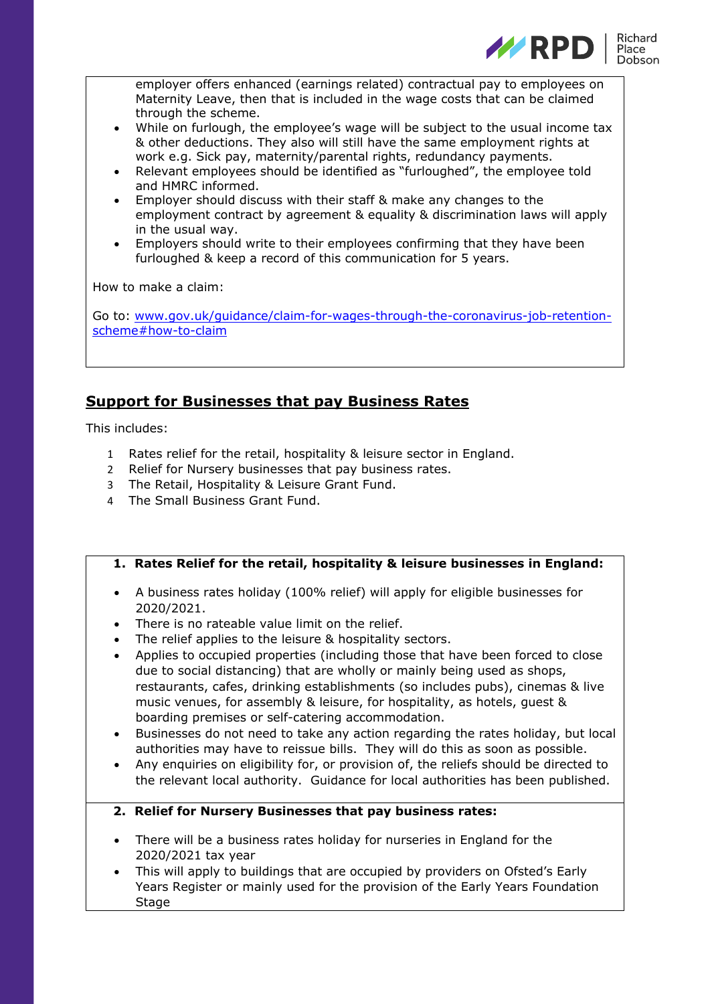

employer offers enhanced (earnings related) contractual pay to employees on Maternity Leave, then that is included in the wage costs that can be claimed through the scheme.

- While on furlough, the employee's wage will be subject to the usual income tax & other deductions. They also will still have the same employment rights at work e.g. Sick pay, maternity/parental rights, redundancy payments.
- Relevant employees should be identified as "furloughed", the employee told and HMRC informed.
- Employer should discuss with their staff & make any changes to the employment contract by agreement & equality & discrimination laws will apply in the usual way.
- Employers should write to their employees confirming that they have been furloughed & keep a record of this communication for 5 years.

How to make a claim:

Go to: [www.gov.uk/guidance/claim-for-wages-through-the-coronavirus-job-retention](http://www.gov.uk/guidance/claim-for-wages-through-the-coronavirus-job-retention-scheme#how-to-claim)[scheme#how-to-claim](http://www.gov.uk/guidance/claim-for-wages-through-the-coronavirus-job-retention-scheme#how-to-claim)

# **Support for Businesses that pay Business Rates**

This includes:

- 1 Rates relief for the retail, hospitality & leisure sector in England.
- 2 Relief for Nursery businesses that pay business rates.
- 3 The Retail, Hospitality & Leisure Grant Fund.
- 4 The Small Business Grant Fund.

# **1. Rates Relief for the retail, hospitality & leisure businesses in England:**

- A business rates holiday (100% relief) will apply for eligible businesses for 2020/2021.
- There is no rateable value limit on the relief.
- The relief applies to the leisure & hospitality sectors.
- Applies to occupied properties (including those that have been forced to close due to social distancing) that are wholly or mainly being used as shops, restaurants, cafes, drinking establishments (so includes pubs), cinemas & live music venues, for assembly & leisure, for hospitality, as hotels, guest & boarding premises or self-catering accommodation.
- Businesses do not need to take any action regarding the rates holiday, but local authorities may have to reissue bills. They will do this as soon as possible.
- Any enquiries on eligibility for, or provision of, the reliefs should be directed to the relevant local authority. Guidance for local authorities has been published.
- **2. Relief for Nursery Businesses that pay business rates:**
- There will be a business rates holiday for nurseries in England for the 2020/2021 tax year
- This will apply to buildings that are occupied by providers on Ofsted's Early Years Register or mainly used for the provision of the Early Years Foundation **Stage**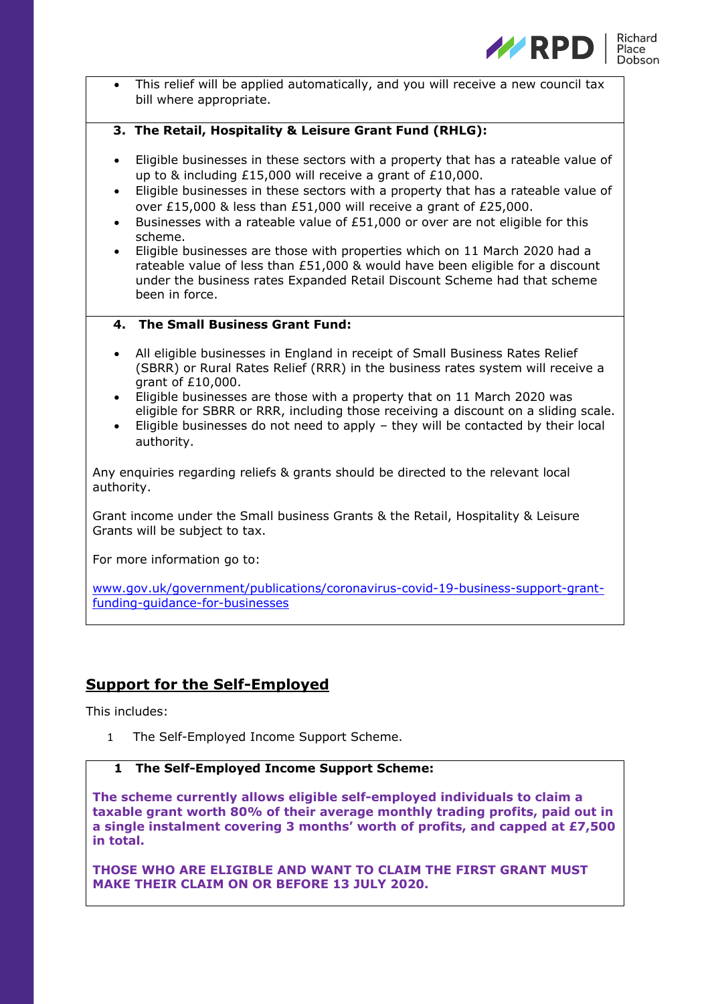

This relief will be applied automatically, and you will receive a new council tax bill where appropriate.

### **3. The Retail, Hospitality & Leisure Grant Fund (RHLG):**

- Eligible businesses in these sectors with a property that has a rateable value of up to & including £15,000 will receive a grant of £10,000.
- Eligible businesses in these sectors with a property that has a rateable value of over £15,000 & less than £51,000 will receive a grant of £25,000.
- Businesses with a rateable value of  $f51,000$  or over are not eligible for this scheme.
- Eligible businesses are those with properties which on 11 March 2020 had a rateable value of less than £51,000 & would have been eligible for a discount under the business rates Expanded Retail Discount Scheme had that scheme been in force.

# **4. The Small Business Grant Fund:**

- All eligible businesses in England in receipt of Small Business Rates Relief (SBRR) or Rural Rates Relief (RRR) in the business rates system will receive a grant of £10,000.
- Eligible businesses are those with a property that on 11 March 2020 was eligible for SBRR or RRR, including those receiving a discount on a sliding scale.
- Eligible businesses do not need to apply they will be contacted by their local authority.

Any enquiries regarding reliefs & grants should be directed to the relevant local authority.

Grant income under the Small business Grants & the Retail, Hospitality & Leisure Grants will be subject to tax.

For more information go to:

[www.gov.uk/government/publications/coronavirus-covid-19-business-support-grant](http://www.gov.uk/government/publications/coronavirus-covid-19-business-support-grant-funding-guidance-for-businesses)[funding-guidance-for-businesses](http://www.gov.uk/government/publications/coronavirus-covid-19-business-support-grant-funding-guidance-for-businesses)

# **Support for the Self-Employed**

This includes:

1 The Self-Employed Income Support Scheme.

## **1 The Self-Employed Income Support Scheme:**

**The scheme currently allows eligible self-employed individuals to claim a taxable grant worth 80% of their average monthly trading profits, paid out in a single instalment covering 3 months' worth of profits, and capped at £7,500 in total.**

**THOSE WHO ARE ELIGIBLE AND WANT TO CLAIM THE FIRST GRANT MUST MAKE THEIR CLAIM ON OR BEFORE 13 JULY 2020.**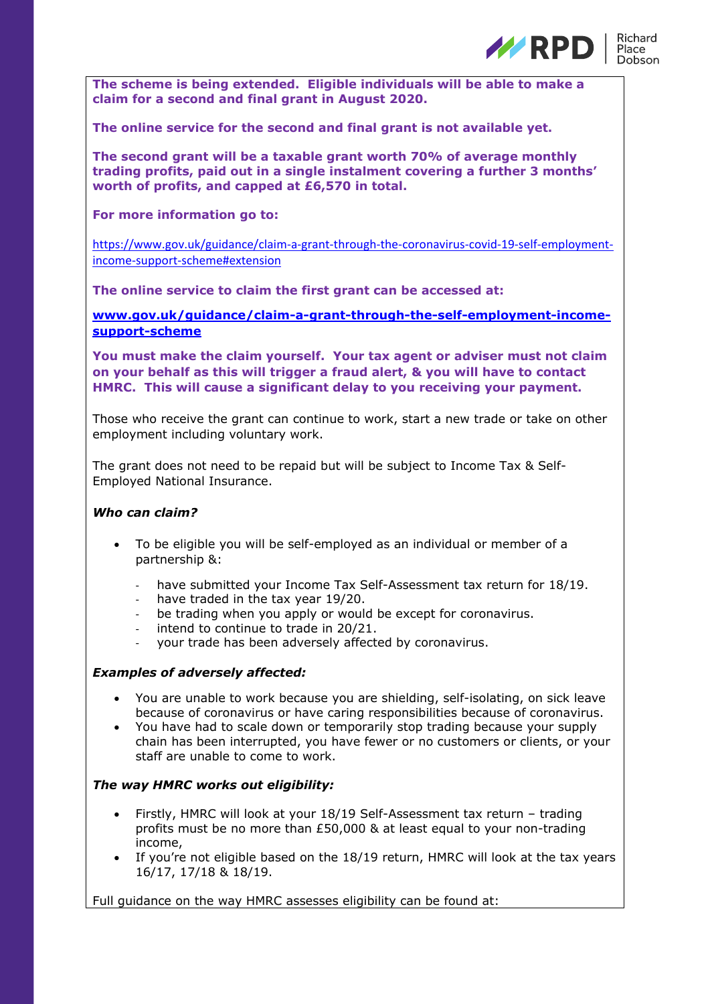

**The scheme is being extended. Eligible individuals will be able to make a claim for a second and final grant in August 2020.**

**The online service for the second and final grant is not available yet.**

**The second grant will be a taxable grant worth 70% of average monthly trading profits, paid out in a single instalment covering a further 3 months' worth of profits, and capped at £6,570 in total.**

### **For more information go to:**

[https://www.gov.uk/guidance/claim-a-grant-through-the-coronavirus-covid-19-self-employment](https://www.gov.uk/guidance/claim-a-grant-through-the-coronavirus-covid-19-self-employment-income-support-scheme#extension)[income-support-scheme#extension](https://www.gov.uk/guidance/claim-a-grant-through-the-coronavirus-covid-19-self-employment-income-support-scheme#extension)

**The online service to claim the first grant can be accessed at:**

**[www.gov.uk/guidance/claim-a-grant-through-the-self-employment-income](http://www.gov.uk/guidance/claim-a-grant-through-the-self-employment-income-support-scheme)[support-scheme](http://www.gov.uk/guidance/claim-a-grant-through-the-self-employment-income-support-scheme)**

**You must make the claim yourself. Your tax agent or adviser must not claim on your behalf as this will trigger a fraud alert, & you will have to contact HMRC. This will cause a significant delay to you receiving your payment.**

Those who receive the grant can continue to work, start a new trade or take on other employment including voluntary work.

The grant does not need to be repaid but will be subject to Income Tax & Self-Employed National Insurance.

### *Who can claim?*

- To be eligible you will be self-employed as an individual or member of a partnership &:
	- have submitted your Income Tax Self-Assessment tax return for 18/19.
	- have traded in the tax year 19/20.
	- be trading when you apply or would be except for coronavirus.
	- intend to continue to trade in 20/21.
	- your trade has been adversely affected by coronavirus.

### *Examples of adversely affected:*

- You are unable to work because you are shielding, self-isolating, on sick leave because of coronavirus or have caring responsibilities because of coronavirus.
- You have had to scale down or temporarily stop trading because your supply chain has been interrupted, you have fewer or no customers or clients, or your staff are unable to come to work.

### *The way HMRC works out eligibility:*

- Firstly, HMRC will look at your 18/19 Self-Assessment tax return trading profits must be no more than £50,000 & at least equal to your non-trading income,
- If you're not eligible based on the 18/19 return, HMRC will look at the tax years 16/17, 17/18 & 18/19.

Full guidance on the way HMRC assesses eligibility can be found at: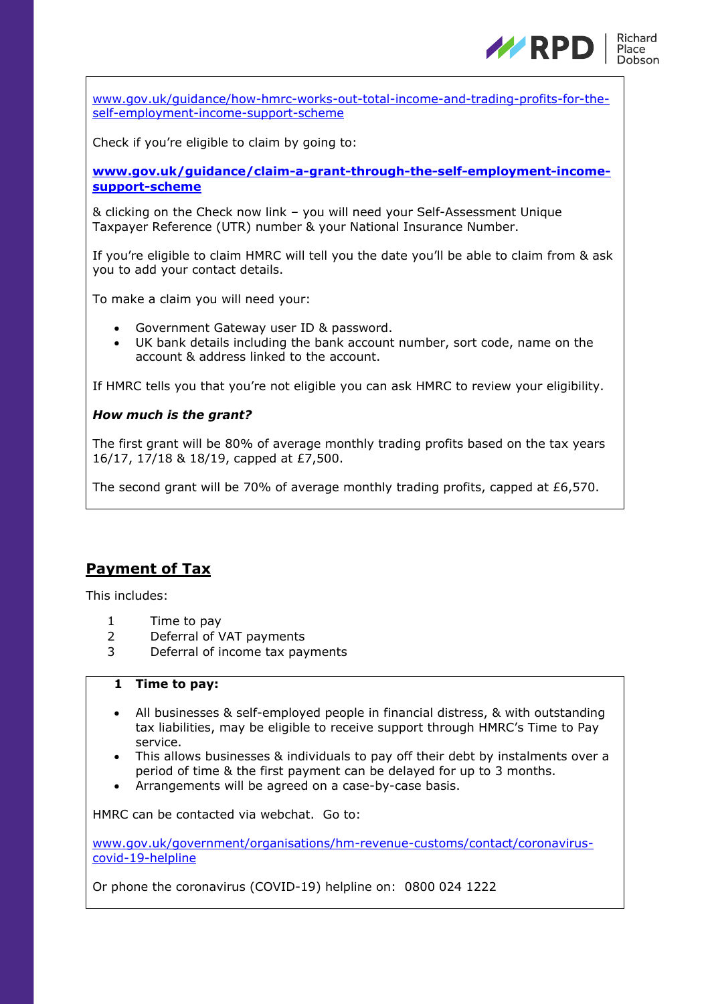

[www.gov.uk/guidance/how-hmrc-works-out-total-income-and-trading-profits-for-the](http://www.gov.uk/guidance/how-hmrc-works-out-total-income-and-trading-profits-for-the-self-employment-income-support-scheme)[self-employment-income-support-scheme](http://www.gov.uk/guidance/how-hmrc-works-out-total-income-and-trading-profits-for-the-self-employment-income-support-scheme)

Check if you're eligible to claim by going to:

**[www.gov.uk/guidance/claim-a-grant-through-the-self-employment-income](http://www.gov.uk/guidance/claim-a-grant-through-the-self-employment-income-support-scheme)[support-scheme](http://www.gov.uk/guidance/claim-a-grant-through-the-self-employment-income-support-scheme)**

& clicking on the Check now link – you will need your Self-Assessment Unique Taxpayer Reference (UTR) number & your National Insurance Number.

If you're eligible to claim HMRC will tell you the date you'll be able to claim from & ask you to add your contact details.

To make a claim you will need your:

- Government Gateway user ID & password.
- UK bank details including the bank account number, sort code, name on the account & address linked to the account.

If HMRC tells you that you're not eligible you can ask HMRC to review your eligibility.

### *How much is the grant?*

The first grant will be 80% of average monthly trading profits based on the tax years 16/17, 17/18 & 18/19, capped at £7,500.

The second grant will be 70% of average monthly trading profits, capped at  $£6,570$ .

# **Payment of Tax**

This includes:

- 1 Time to pay
- 2 Deferral of VAT payments
- 3 Deferral of income tax payments

## **1 Time to pay:**

- All businesses & self-employed people in financial distress, & with outstanding tax liabilities, may be eligible to receive support through HMRC's Time to Pay service.
- This allows businesses & individuals to pay off their debt by instalments over a period of time & the first payment can be delayed for up to 3 months.
- Arrangements will be agreed on a case-by-case basis.

HMRC can be contacted via webchat. Go to:

[www.gov.uk/government/organisations/hm-revenue-customs/contact/coronavirus](http://www.gov.uk/government/organisations/hm-revenue-customs/contact/coronavirus-covid-19-helpline)[covid-19-helpline](http://www.gov.uk/government/organisations/hm-revenue-customs/contact/coronavirus-covid-19-helpline)

Or phone the coronavirus (COVID-19) helpline on: 0800 024 1222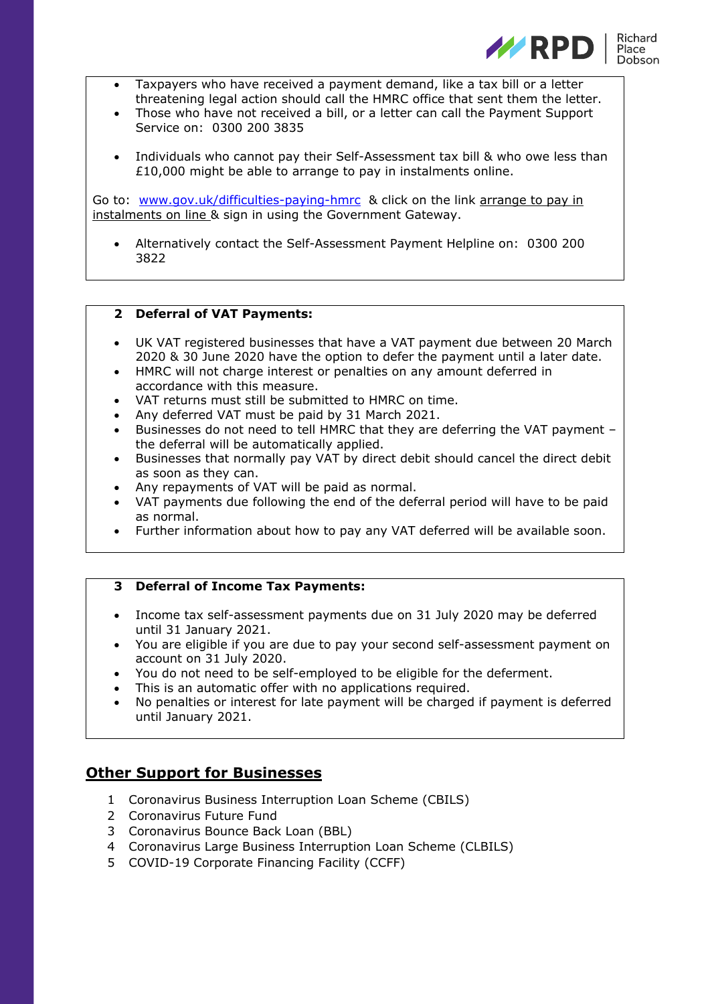

- Taxpayers who have received a payment demand, like a tax bill or a letter threatening legal action should call the HMRC office that sent them the letter.
- Those who have not received a bill, or a letter can call the Payment Support Service on: 0300 200 3835
- Individuals who cannot pay their Self-Assessment tax bill & who owe less than £10,000 might be able to arrange to pay in instalments online.

Go to: [www.gov.uk/difficulties-paying-hmrc](http://www.gov.uk/difficulties-paying-hmrc) & click on the link arrange to pay in instalments on line & sign in using the Government Gateway.

• Alternatively contact the Self-Assessment Payment Helpline on: 0300 200 3822

### **2 Deferral of VAT Payments:**

- UK VAT registered businesses that have a VAT payment due between 20 March 2020 & 30 June 2020 have the option to defer the payment until a later date.
- HMRC will not charge interest or penalties on any amount deferred in accordance with this measure.
- VAT returns must still be submitted to HMRC on time.
- Any deferred VAT must be paid by 31 March 2021.
- Businesses do not need to tell HMRC that they are deferring the VAT payment the deferral will be automatically applied.
- Businesses that normally pay VAT by direct debit should cancel the direct debit as soon as they can.
- Any repayments of VAT will be paid as normal.
- VAT payments due following the end of the deferral period will have to be paid as normal.
- Further information about how to pay any VAT deferred will be available soon.

### **3 Deferral of Income Tax Payments:**

- Income tax self-assessment payments due on 31 July 2020 may be deferred until 31 January 2021.
- You are eligible if you are due to pay your second self-assessment payment on account on 31 July 2020.
- You do not need to be self-employed to be eligible for the deferment.
- This is an automatic offer with no applications required.
- No penalties or interest for late payment will be charged if payment is deferred until January 2021.

# **Other Support for Businesses**

- 1 Coronavirus Business Interruption Loan Scheme (CBILS)
- 2 Coronavirus Future Fund
- 3 Coronavirus Bounce Back Loan (BBL)
- 4 Coronavirus Large Business Interruption Loan Scheme (CLBILS)
- 5 COVID-19 Corporate Financing Facility (CCFF)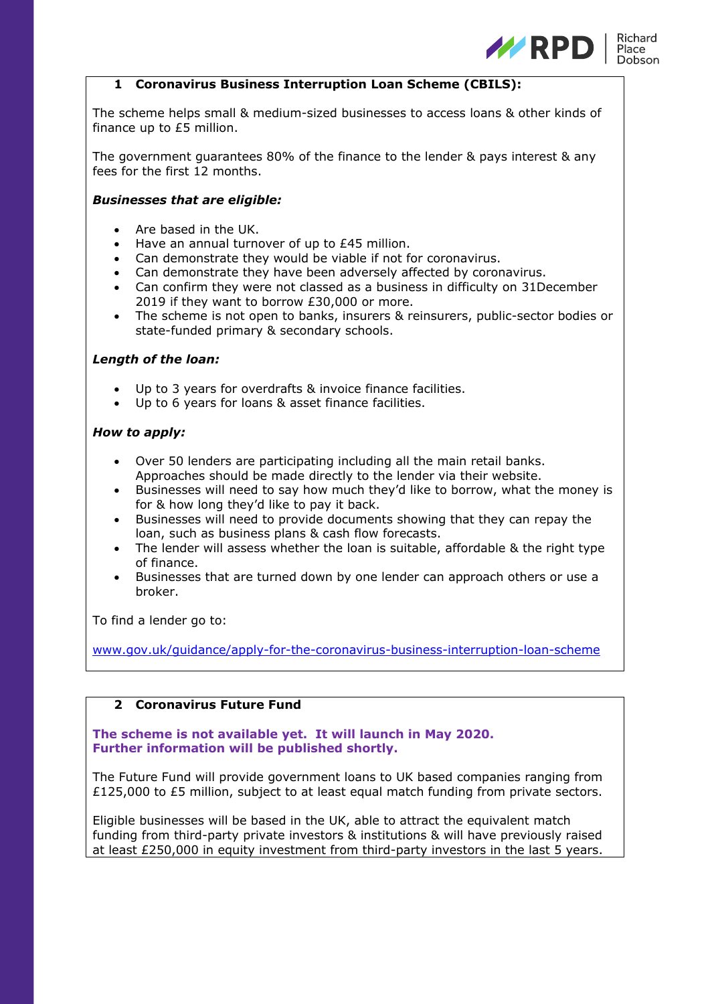

## **1 Coronavirus Business Interruption Loan Scheme (CBILS):**

The scheme helps small & medium-sized businesses to access loans & other kinds of finance up to £5 million.

The government guarantees 80% of the finance to the lender & pays interest & any fees for the first 12 months.

### *Businesses that are eligible:*

- Are based in the UK.
- Have an annual turnover of up to £45 million.
- Can demonstrate they would be viable if not for coronavirus.
- Can demonstrate they have been adversely affected by coronavirus.
- Can confirm they were not classed as a business in difficulty on 31December 2019 if they want to borrow £30,000 or more.
- The scheme is not open to banks, insurers & reinsurers, public-sector bodies or state-funded primary & secondary schools.

## *Length of the loan:*

- Up to 3 years for overdrafts & invoice finance facilities.
- Up to 6 years for loans & asset finance facilities.

## *How to apply:*

- Over 50 lenders are participating including all the main retail banks. Approaches should be made directly to the lender via their website.
- Businesses will need to say how much they'd like to borrow, what the money is for & how long they'd like to pay it back.
- Businesses will need to provide documents showing that they can repay the loan, such as business plans & cash flow forecasts.
- The lender will assess whether the loan is suitable, affordable & the right type of finance.
- Businesses that are turned down by one lender can approach others or use a broker.

To find a lender go to:

[www.gov.uk/guidance/apply-for-the-coronavirus-business-interruption-loan-scheme](http://www.gov.uk/guidance/apply-for-the-coronavirus-business-interruption-loan-scheme)

# **2 Coronavirus Future Fund**

## **The scheme is not available yet. It will launch in May 2020. Further information will be published shortly.**

The Future Fund will provide government loans to UK based companies ranging from £125,000 to £5 million, subject to at least equal match funding from private sectors.

Eligible businesses will be based in the UK, able to attract the equivalent match funding from third-party private investors & institutions & will have previously raised at least £250,000 in equity investment from third-party investors in the last 5 years.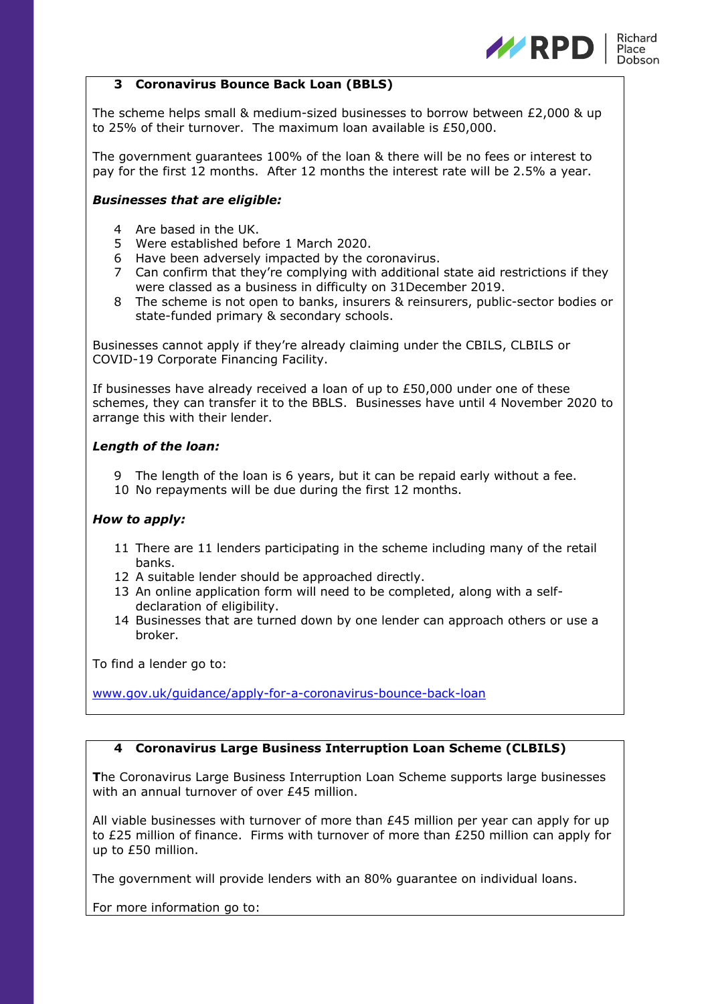

## **3 Coronavirus Bounce Back Loan (BBLS)**

The scheme helps small & medium-sized businesses to borrow between £2,000 & up to 25% of their turnover. The maximum loan available is £50,000.

The government guarantees 100% of the loan & there will be no fees or interest to pay for the first 12 months. After 12 months the interest rate will be 2.5% a year.

### *Businesses that are eligible:*

- 4 Are based in the UK.
- 5 Were established before 1 March 2020.
- 6 Have been adversely impacted by the coronavirus.
- 7 Can confirm that they're complying with additional state aid restrictions if they were classed as a business in difficulty on 31December 2019.
- 8 The scheme is not open to banks, insurers & reinsurers, public-sector bodies or state-funded primary & secondary schools.

Businesses cannot apply if they're already claiming under the CBILS, CLBILS or COVID-19 Corporate Financing Facility.

If businesses have already received a loan of up to  $£50,000$  under one of these schemes, they can transfer it to the BBLS. Businesses have until 4 November 2020 to arrange this with their lender.

## *Length of the loan:*

- 9 The length of the loan is 6 years, but it can be repaid early without a fee.
- 10 No repayments will be due during the first 12 months.

# *How to apply:*

- 11 There are 11 lenders participating in the scheme including many of the retail banks.
- 12 A suitable lender should be approached directly.
- 13 An online application form will need to be completed, along with a selfdeclaration of eligibility.
- 14 Businesses that are turned down by one lender can approach others or use a broker.

To find a lender go to:

[www.gov.uk/guidance/apply-for-a-coronavirus-bounce-back-loan](http://www.gov.uk/guidance/apply-for-a-coronavirus-bounce-back-loan)

# **4 Coronavirus Large Business Interruption Loan Scheme (CLBILS)**

**T**he Coronavirus Large Business Interruption Loan Scheme supports large businesses with an annual turnover of over £45 million.

All viable businesses with turnover of more than £45 million per year can apply for up to £25 million of finance. Firms with turnover of more than £250 million can apply for up to £50 million.

The government will provide lenders with an 80% guarantee on individual loans.

For more information go to: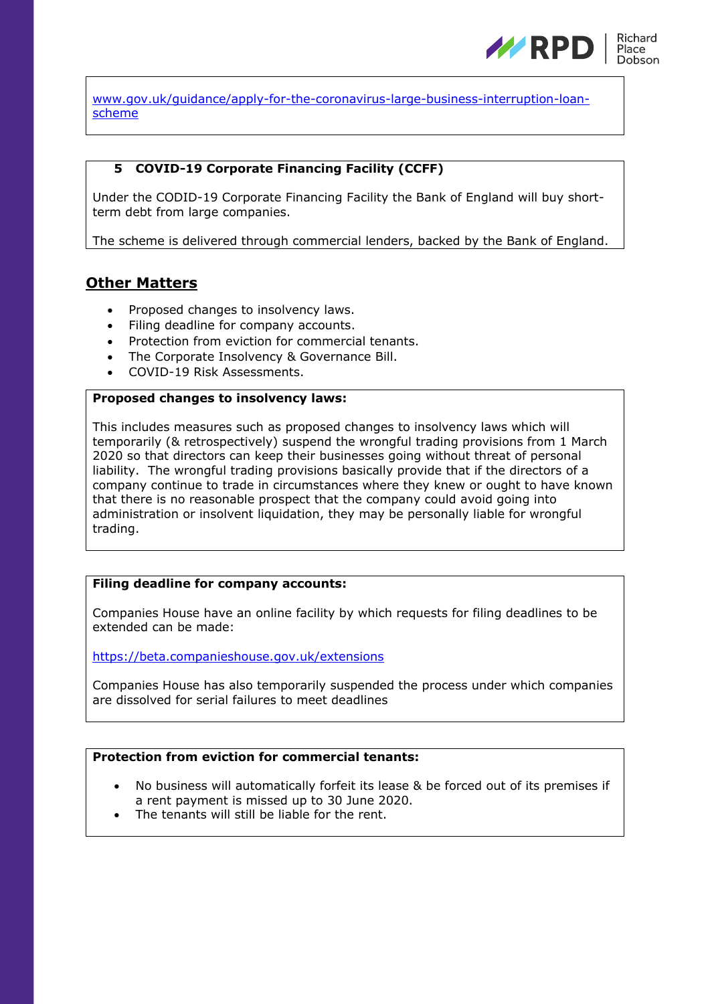

[www.gov.uk/guidance/apply-for-the-coronavirus-large-business-interruption-loan](http://www.gov.uk/guidance/apply-for-the-coronavirus-large-business-interruption-loan-scheme)[scheme](http://www.gov.uk/guidance/apply-for-the-coronavirus-large-business-interruption-loan-scheme)

# **5 COVID-19 Corporate Financing Facility (CCFF)**

Under the CODID-19 Corporate Financing Facility the Bank of England will buy shortterm debt from large companies.

The scheme is delivered through commercial lenders, backed by the Bank of England.

# **Other Matters**

- Proposed changes to insolvency laws.
- Filing deadline for company accounts.
- Protection from eviction for commercial tenants.
- The Corporate Insolvency & Governance Bill.
- COVID-19 Risk Assessments.

## **Proposed changes to insolvency laws:**

This includes measures such as proposed changes to insolvency laws which will temporarily (& retrospectively) suspend the wrongful trading provisions from 1 March 2020 so that directors can keep their businesses going without threat of personal liability. The wrongful trading provisions basically provide that if the directors of a company continue to trade in circumstances where they knew or ought to have known that there is no reasonable prospect that the company could avoid going into administration or insolvent liquidation, they may be personally liable for wrongful trading.

## **Filing deadline for company accounts:**

Companies House have an online facility by which requests for filing deadlines to be extended can be made:

<https://beta.companieshouse.gov.uk/extensions>

Companies House has also temporarily suspended the process under which companies are dissolved for serial failures to meet deadlines

# **Protection from eviction for commercial tenants:**

- No business will automatically forfeit its lease & be forced out of its premises if a rent payment is missed up to 30 June 2020.
- The tenants will still be liable for the rent.